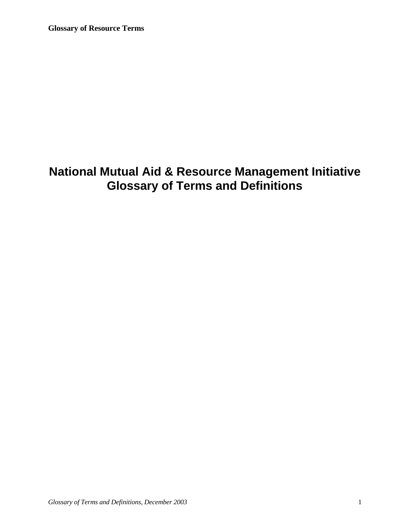**Glossary of Resource Terms**

# **National Mutual Aid & Resource Management Initiative Glossary of Terms and Definitions**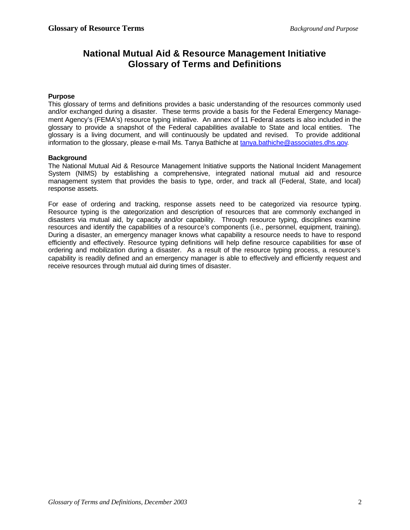### **National Mutual Aid & Resource Management Initiative Glossary of Terms and Definitions**

#### **Purpose**

This glossary of terms and definitions provides a basic understanding of the resources commonly used and/or exchanged during a disaster. These terms provide a basis for the Federal Emergency Management Agency's (FEMA's) resource typing initiative. An annex of 11 Federal assets is also included in the glossary to provide a snapshot of the Federal capabilities available to State and local entities. The glossary is a living document, and will continuously be updated and revised. To provide additional information to the glossary, please e-mail Ms. Tanya Bathiche at tanya.bathiche@associates.dhs.gov.

#### **Background**

The National Mutual Aid & Resource Management Initiative supports the National Incident Management System (NIMS) by establishing a comprehensive, integrated national mutual aid and resource management system that provides the basis to type, order, and track all (Federal, State, and local) response assets.

For ease of ordering and tracking, response assets need to be categorized via resource typing. Resource typing is the categorization and description of resources that are commonly exchanged in disasters via mutual aid, by capacity and/or capability. Through resource typing, disciplines examine resources and identify the capabilities of a resource's components (i.e., personnel, equipment, training). During a disaster, an emergency manager knows what capability a resource needs to have to respond efficiently and effectively. Resource typing definitions will help define resource capabilities for ease of ordering and mobilization during a disaster. As a result of the resource typing process, a resource's capability is readily defined and an emergency manager is able to effectively and efficiently request and receive resources through mutual aid during times of disaster.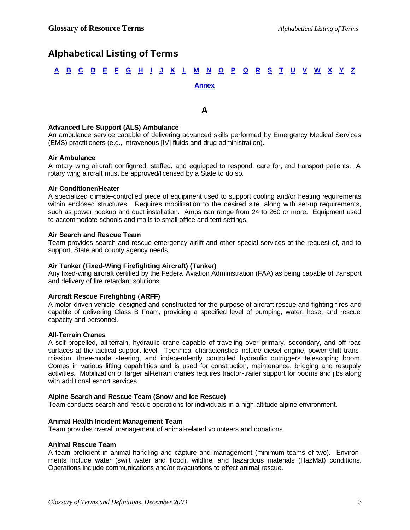### **Alphabetical Listing of Terms**

# <u>A B C D E F G H I J K L M N O P Q R S T U V W X Y Z</u> **Annex**

### **A**

#### **Advanced Life Support (ALS) Ambulance**

An ambulance service capable of delivering advanced skills performed by Emergency Medical Services (EMS) practitioners (e.g., intravenous [IV] fluids and drug administration).

#### **Air Ambulance**

A rotary wing aircraft configured, staffed, and equipped to respond, care for, and transport patients. A rotary wing aircraft must be approved/licensed by a State to do so.

#### **Air Conditioner/Heater**

A specialized climate-controlled piece of equipment used to support cooling and/or heating requirements within enclosed structures. Requires mobilization to the desired site, along with set-up requirements, such as power hookup and duct installation. Amps can range from 24 to 260 or more. Equipment used to accommodate schools and malls to small office and tent settings.

#### **Air Search and Rescue Team**

Team provides search and rescue emergency airlift and other special services at the request of, and to support, State and county agency needs.

#### **Air Tanker (Fixed-Wing Firefighting Aircraft) (Tanker)**

Any fixed-wing aircraft certified by the Federal Aviation Administration (FAA) as being capable of transport and delivery of fire retardant solutions.

#### **Aircraft Rescue Firefighting** (**ARFF)**

A motor-driven vehicle, designed and constructed for the purpose of aircraft rescue and fighting fires and capable of delivering Class B Foam, providing a specified level of pumping, water, hose, and rescue capacity and personnel.

#### **All-Terrain Cranes**

A self-propelled, all-terrain, hydraulic crane capable of traveling over primary, secondary, and off-road surfaces at the tactical support level. Technical characteristics include diesel engine, power shift transmission, three-mode steering, and independently controlled hydraulic outriggers telescoping boom. Comes in various lifting capabilities and is used for construction, maintenance, bridging and resupply activities. Mobilization of larger all-terrain cranes requires tractor-trailer support for booms and jibs along with additional escort services.

#### **Alpine Search and Rescue Team (Snow and Ice Rescue)**

Team conducts search and rescue operations for individuals in a high-altitude alpine environment.

#### **Animal Health Incident Management Team**

Team provides overall management of animal-related volunteers and donations.

#### **Animal Rescue Team**

A team proficient in animal handling and capture and management (minimum teams of two). Environments include water (swift water and flood), wildfire, and hazardous materials (HazMat) conditions. Operations include communications and/or evacuations to effect animal rescue.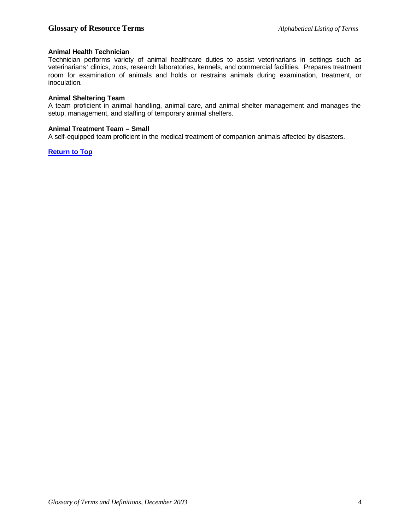#### **Animal Health Technician**

Technician performs variety of animal healthcare duties to assist veterinarians in settings such as veterinarians' clinics, zoos, research laboratories, kennels, and commercial facilities. Prepares treatment room for examination of animals and holds or restrains animals during examination, treatment, or inoculation.

#### **Animal Sheltering Team**

A team proficient in animal handling, animal care, and animal shelter management and manages the setup, management, and staffing of temporary animal shelters.

#### **Animal Treatment Team – Small**

A self-equipped team proficient in the medical treatment of companion animals affected by disasters.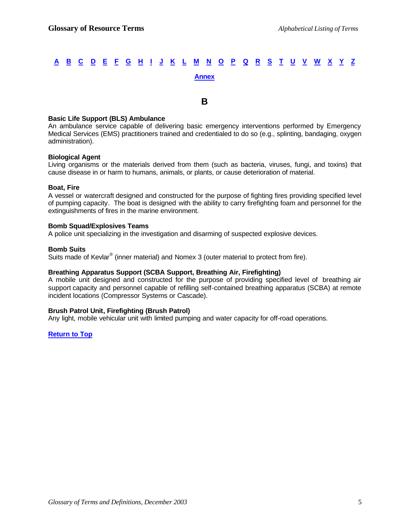#### **B**

#### **Basic Life Support (BLS) Ambulance**

An ambulance service capable of delivering basic emergency interventions performed by Emergency Medical Services (EMS) practitioners trained and credentialed to do so (e.g., splinting, bandaging, oxygen administration).

#### **Biological Agent**

Living organisms or the materials derived from them (such as bacteria, viruses, fungi, and toxins) that cause disease in or harm to humans, animals, or plants, or cause deterioration of material.

#### **Boat, Fire**

A vessel or watercraft designed and constructed for the purpose of fighting fires providing specified level of pumping capacity. The boat is designed with the ability to carry firefighting foam and personnel for the extinguishments of fires in the marine environment.

#### **Bomb Squad/Explosives Teams**

A police unit specializing in the investigation and disarming of suspected explosive devices.

#### **Bomb Suits**

Suits made of Kevlar<sup>®</sup> (inner material) and Nomex 3 (outer material to protect from fire).

#### **Breathing Apparatus Support (SCBA Support, Breathing Air, Firefighting)**

A mobile unit designed and constructed for the purpose of providing specified level of breathing air support capacity and personnel capable of refilling self-contained breathing apparatus (SCBA) at remote incident locations (Compressor Systems or Cascade).

#### **Brush Patrol Unit, Firefighting (Brush Patrol)**

Any light, mobile vehicular unit with limited pumping and water capacity for off-road operations.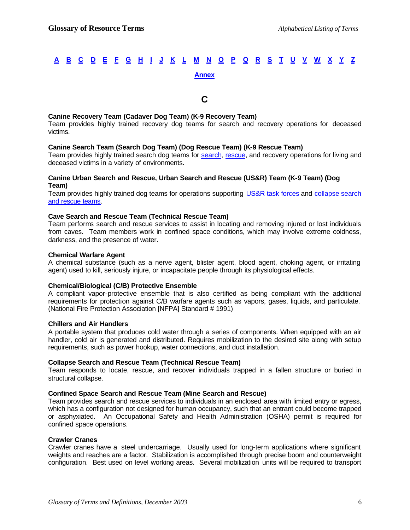#### **C**

#### **Canine Recovery Team (Cadaver Dog Team) (K-9 Recovery Team)**

Team provides highly trained recovery dog teams for search and recovery operations for deceased victims.

#### **Canine Search Team (Search Dog Team) (Dog Rescue Team) (K-9 Rescue Team)**

Team provides highly trained search dog teams for search, rescue, and recovery operations for living and deceased victims in a variety of environments.

#### **Canine Urban Search and Rescue, Urban Search and Rescue (US&R) Team (K-9 Team) (Dog Team)**

Team provides highly trained dog teams for operations supporting US&R task forces and collapse search and rescue teams.

#### **Cave Search and Rescue Team (Technical Rescue Team)**

Team performs search and rescue services to assist in locating and removing injured or lost individuals from caves. Team members work in confined space conditions, which may involve extreme coldness, darkness, and the presence of water.

#### **Chemical Warfare Agent**

A chemical substance (such as a nerve agent, blister agent, blood agent, choking agent, or irritating agent) used to kill, seriously injure, or incapacitate people through its physiological effects.

#### **Chemical/Biological (C/B) Protective Ensemble**

A compliant vapor-protective ensemble that is also certified as being compliant with the additional requirements for protection against C/B warfare agents such as vapors, gases, liquids, and particulate. (National Fire Protection Association [NFPA] Standard # 1991)

#### **Chillers and Air Handlers**

A portable system that produces cold water through a series of components. When equipped with an air handler, cold air is generated and distributed. Requires mobilization to the desired site along with setup requirements, such as power hookup, water connections, and duct installation.

#### **Collapse Search and Rescue Team (Technical Rescue Team)**

Team responds to locate, rescue, and recover individuals trapped in a fallen structure or buried in structural collapse.

#### **Confined Space Search and Rescue Team (Mine Search and Rescue)**

Team provides search and rescue services to individuals in an enclosed area with limited entry or egress, which has a configuration not designed for human occupancy, such that an entrant could become trapped or asphyxiated. An Occupational Safety and Health Administration (OSHA) permit is required for confined space operations.

#### **Crawler Cranes**

Crawler cranes have a steel undercarriage. Usually used for long-term applications where significant weights and reaches are a factor. Stabilization is accomplished through precise boom and counterweight configuration. Best used on level working areas. Several mobilization units will be required to transport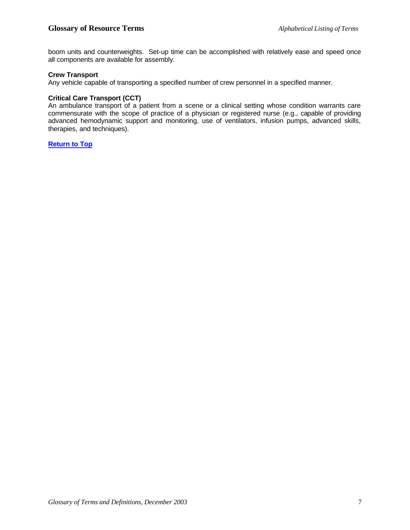boom units and counterweights. Set-up time can be accomplished with relatively ease and speed once all components are available for assembly.

#### **Crew Transport**

Any vehicle capable of transporting a specified number of crew personnel in a specified manner.

#### **Critical Care Transport (CCT)**

An ambulance transport of a patient from a scene or a clinical setting whose condition warrants care commensurate with the scope of practice of a physician or registered nurse (e.g., capable of providing advanced hemodynamic support and monitoring, use of ventilators, infusion pumps, advanced skills, therapies, and techniques).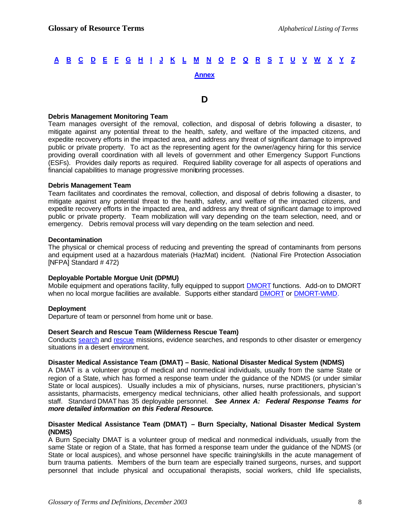#### **D**

#### **Debris Management Monitoring Team**

Team manages oversight of the removal, collection, and disposal of debris following a disaster, to mitigate against any potential threat to the health, safety, and welfare of the impacted citizens, and expedite recovery efforts in the impacted area, and address any threat of significant damage to improved public or private property. To act as the representing agent for the owner/agency hiring for this service providing overall coordination with all levels of government and other Emergency Support Functions (ESFs). Provides daily reports as required. Required liability coverage for all aspects of operations and financial capabilities to manage progressive monitoring processes.

#### **Debris Management Team**

Team facilitates and coordinates the removal, collection, and disposal of debris following a disaster, to mitigate against any potential threat to the health, safety, and welfare of the impacted citizens, and expedite recovery efforts in the impacted area, and address any threat of significant damage to improved public or private property. Team mobilization will vary depending on the team selection, need, and or emergency. Debris removal process will vary depending on the team selection and need.

#### **Decontamination**

The physical or chemical process of reducing and preventing the spread of contaminants from persons and equipment used at a hazardous materials (HazMat) incident. (National Fire Protection Association [NFPA] Standard # 472)

#### **Deployable Portable Morgue Unit (DPMU)**

Mobile equipment and operations facility, fully equipped to support DMORT functions. Add-on to DMORT when no local morgue facilities are available. Supports either standard DMORT or DMORT-WMD.

#### **Deployment**

Departure of team or personnel from home unit or base.

#### **Desert Search and Rescue Team (Wilderness Rescue Team)**

Conducts search and rescue missions, evidence searches, and responds to other disaster or emergency situations in a desert environment.

#### **Disaster Medical Assistance Team (DMAT) – Basic**, **National Disaster Medical System (NDMS)**

A DMAT is a volunteer group of medical and nonmedical individuals, usually from the same State or region of a State, which has formed a response team under the guidance of the NDMS (or under similar State or local auspices). Usually includes a mix of physicians, nurses, nurse practitioners, physician's assistants, pharmacists, emergency medical technicians, other allied health professionals, and support staff. Standard DMAT has 35 deployable personnel. *See Annex A: Federal Response Teams for more detailed information on this Federal Resource.*

#### **Disaster Medical Assistance Team (DMAT) – Burn Specialty, National Disaster Medical System (NDMS)**

A Burn Specialty DMAT is a volunteer group of medical and nonmedical individuals, usually from the same State or region of a State, that has formed a response team under the guidance of the NDMS (or State or local auspices), and whose personnel have specific training/skills in the acute management of burn trauma patients. Members of the burn team are especially trained surgeons, nurses, and support personnel that include physical and occupational therapists, social workers, child life specialists,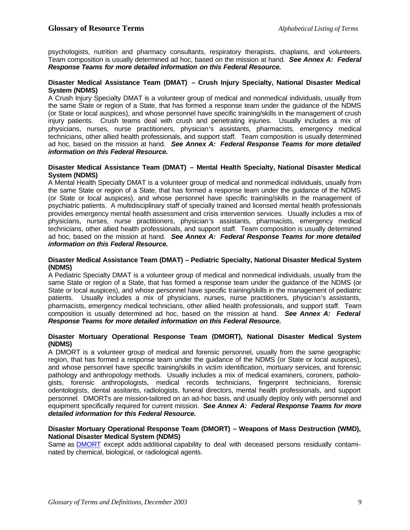psychologists, nutrition and pharmacy consultants, respiratory therapists, chaplains, and volunteers. Team composition is usually determined ad hoc, based on the mission at hand. *See Annex A: Federal Response Teams for more detailed information on this Federal Resource.*

#### **Disaster Medical Assistance Team (DMAT) – Crush Injury Specialty, National Disaster Medical System (NDMS)**

A Crush Injury Specialty DMAT is a volunteer group of medical and nonmedical individuals, usually from the same State or region of a State, that has formed a response team under the guidance of the NDMS (or State or local auspices), and whose personnel have specific training/skills in the management of crush injury patients. Crush teams deal with crush and penetrating injuries. Usually includes a mix of physicians, nurses, nurse practitioners, physician's assistants, pharmacists, emergency medical technicians, other allied health professionals, and support staff. Team composition is usually determined ad hoc, based on the mission at hand. *See Annex A: Federal Response Teams for more detailed information on this Federal Resource.*

#### **Disaster Medical Assistance Team (DMAT) – Mental Health Specialty, National Disaster Medical System (NDMS)**

A Mental Health Specialty DMAT is a volunteer group of medical and nonmedical individuals, usually from the same State or region of a State, that has formed a response team under the guidance of the NDMS (or State or local auspices), and whose personnel have specific training/skills in the management of psychiatric patients. A multidisciplinary staff of specially trained and licensed mental health professionals provides emergency mental health assessment and crisis intervention services. Usually includes a mix of physicians, nurses, nurse practitioners, physician's assistants, pharmacists, emergency medical technicians, other allied health professionals, and support staff. Team composition is usually determined ad hoc, based on the mission at hand. *See Annex A: Federal Response Teams for more detailed information on this Federal Resource.*

#### **Disaster Medical Assistance Team (DMAT) – Pediatric Specialty, National Disaster Medical System (NDMS)**

A Pediatric Specialty DMAT is a volunteer group of medical and nonmedical individuals, usually from the same State or region of a State, that has formed a response team under the guidance of the NDMS (or State or local auspices), and whose personnel have specific training/skills in the management of pediatric patients. Usually includes a mix of physicians, nurses, nurse practitioners, physician's assistants, pharmacists, emergency medical technicians, other allied health professionals, and support staff. Team composition is usually determined ad hoc, based on the mission at hand. *See Annex A: Federal Response Teams for more detailed information on this Federal Resource.*

#### **Disaster Mortuary Operational Response Team (DMORT), National Disaster Medical System (NDMS)**

A DMORT is a volunteer group of medical and forensic personnel, usually from the same geographic region, that has formed a response team under the guidance of the NDMS (or State or local auspices), and whose personnel have specific training/skills in victim identification, mortuary services, and forensic pathology and anthropology methods. Usually includes a mix of medical examiners, coroners, pathologists, forensic anthropologists, medical records technicians, fingerprint technicians, forensic odentologists, dental assitants, radiologists, funeral directors, mental health professionals, and support personnel. DMORTs are mission-tailored on an ad-hoc basis, and usually deploy only with personnel and equipment specifically required for current mission. *See Annex A: Federal Response Teams for more detailed information for this Federal Resource.*

#### **Disaster Mortuary Operational Response Team (DMORT) – Weapons of Mass Destruction (WMD), National Disaster Medical System (NDMS)**

Same as DMORT except adds additional capability to deal with deceased persons residually contaminated by chemical, biological, or radiological agents.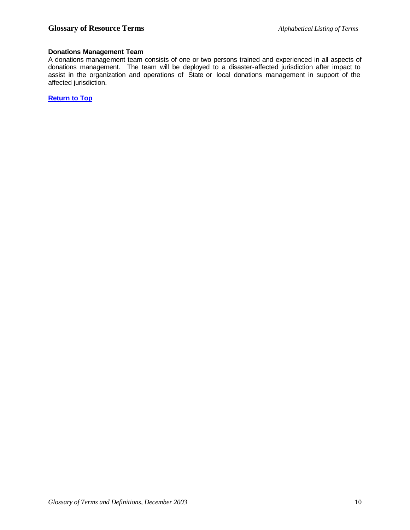#### **Donations Management Team**

A donations management team consists of one or two persons trained and experienced in all aspects of donations management. The team will be deployed to a disaster-affected jurisdiction after impact to assist in the organization and operations of State or local donations management in support of the affected jurisdiction.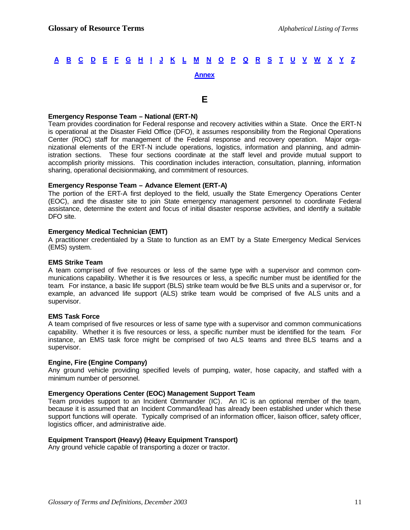#### **E**

#### **Emergency Response Team – National (ERT-N)**

Team provides coordination for Federal response and recovery activities within a State. Once the ERT-N is operational at the Disaster Field Office (DFO), it assumes responsibility from the Regional Operations Center (ROC) staff for management of the Federal response and recovery operation. Major organizational elements of the ERT-N include operations, logistics, information and planning, and administration sections. These four sections coordinate at the staff level and provide mutual support to accomplish priority missions. This coordination includes interaction, consultation, planning, information sharing, operational decisionmaking, and commitment of resources.

#### **Emergency Response Team – Advance Element (ERT-A)**

The portion of the ERT-A first deployed to the field, usually the State Emergency Operations Center (EOC), and the disaster site to join State emergency management personnel to coordinate Federal assistance, determine the extent and focus of initial disaster response activities, and identify a suitable DFO site.

#### **Emergency Medical Technician (EMT)**

A practitioner credentialed by a State to function as an EMT by a State Emergency Medical Services (EMS) system.

#### **EMS Strike Team**

A team comprised of five resources or less of the same type with a supervisor and common communications capability. Whether it is five resources or less, a specific number must be identified for the team. For instance, a basic life support (BLS) strike team would be five BLS units and a supervisor or, for example, an advanced life support (ALS) strike team would be comprised of five ALS units and a supervisor.

#### **EMS Task Force**

A team comprised of five resources or less of same type with a supervisor and common communications capability. Whether it is five resources or less, a specific number must be identified for the team. For instance, an EMS task force might be comprised of two ALS teams and three BLS teams and a supervisor.

#### **Engine, Fire (Engine Company)**

Any ground vehicle providing specified levels of pumping, water, hose capacity, and staffed with a minimum number of personnel.

#### **Emergency Operations Center (EOC) Management Support Team**

Team provides support to an Incident Commander (IC). An IC is an optional member of the team, because it is assumed that an Incident Command/lead has already been established under which these support functions will operate. Typically comprised of an information officer, liaison officer, safety officer, logistics officer, and administrative aide.

#### **Equipment Transport (Heavy) (Heavy Equipment Transport)**

Any ground vehicle capable of transporting a dozer or tractor.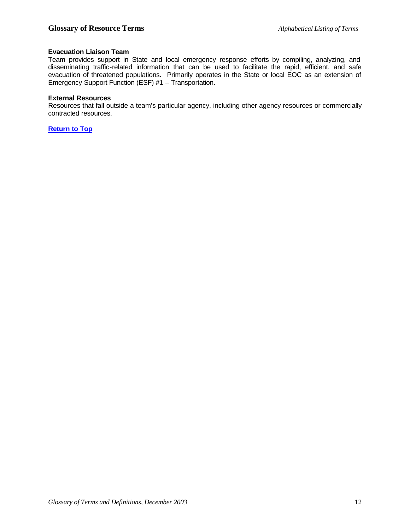#### **Evacuation Liaison Team**

Team provides support in State and local emergency response efforts by compiling, analyzing, and disseminating traffic-related information that can be used to facilitate the rapid, efficient, and safe evacuation of threatened populations. Primarily operates in the State or local EOC as an extension of Emergency Support Function (ESF) #1 – Transportation.

#### **External Resources**

Resources that fall outside a team's particular agency, including other agency resources or commercially contracted resources.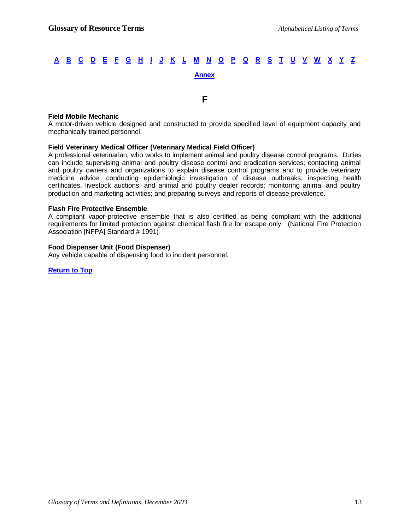**F**

#### **Field Mobile Mechanic**

A motor-driven vehicle designed and constructed to provide specified level of equipment capacity and mechanically trained personnel.

#### **Field Veterinary Medical Officer (Veterinary Medical Field Officer)**

A professional veterinarian, who works to implement animal and poultry disease control programs. Duties can include supervising animal and poultry disease control and eradication services; contacting animal and poultry owners and organizations to explain disease control programs and to provide veterinary medicine advice; conducting epidemiologic investigation of disease outbreaks; inspecting health certificates, livestock auctions, and animal and poultry dealer records; monitoring animal and poultry production and marketing activities; and preparing surveys and reports of disease prevalence.

#### **Flash Fire Protective Ensemble**

A compliant vapor-protective ensemble that is also certified as being compliant with the additional requirements for limited protection against chemical flash fire for escape only. (National Fire Protection Association [NFPA] Standard # 1991)

#### **Food Dispenser Unit (Food Dispenser)**

Any vehicle capable of dispensing food to incident personnel.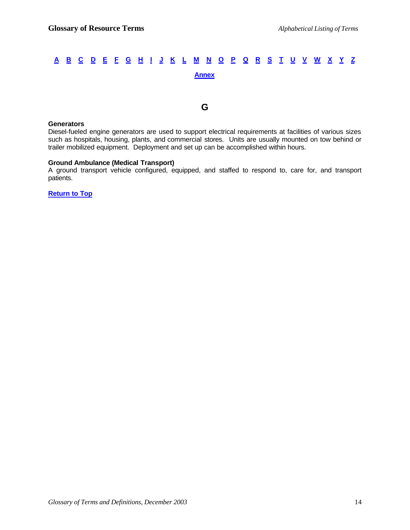**G**

#### **Generators**

Diesel-fueled engine generators are used to support electrical requirements at facilities of various sizes such as hospitals, housing, plants, and commercial stores. Units are usually mounted on tow behind or trailer mobilized equipment. Deployment and set up can be accomplished within hours.

#### **Ground Ambulance (Medical Transport)**

A ground transport vehicle configured, equipped, and staffed to respond to, care for, and transport patients.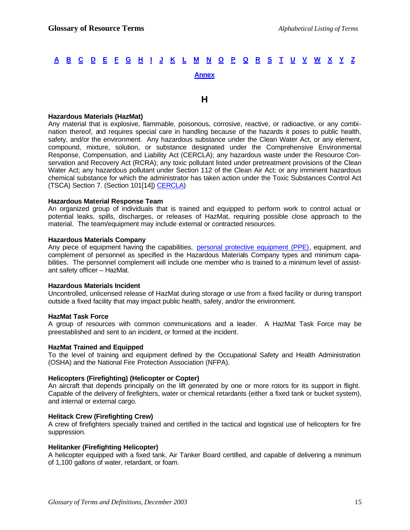#### **H**

#### **Hazardous Materials (HazMat)**

Any material that is explosive, flammable, poisonous, corrosive, reactive, or radioactive, or any combination thereof, and requires special care in handling because of the hazards it poses to public health, safety, and/or the environment. Any hazardous substance under the Clean Water Act, or any element, compound, mixture, solution, or substance designated under the Comprehensive Environmental Response, Compensation, and Liability Act (CERCLA); any hazardous waste under the Resource Conservation and Recovery Act (RCRA); any toxic pollutant listed under pretreatment provisions of the Clean Water Act; any hazardous pollutant under Section 112 of the Clean Air Act; or any imminent hazardous chemical substance for which the administrator has taken action under the Toxic Substances Control Act (TSCA) Section 7. (Section 101[14]) CERCLA)

#### **Hazardous Material Response Team**

An organized group of individuals that is trained and equipped to perform work to control actual or potential leaks, spills, discharges, or releases of HazMat, requiring possible close approach to the material. The team/equipment may include external or contracted resources.

#### **Hazardous Materials Company**

Any piece of equipment having the capabilities, personal protective equipment (PPE), equipment, and complement of personnel as specified in the Hazardous Materials Company types and minimum capabilities. The personnel complement will include one member who is trained to a minimum level of assistant safety officer – HazMat.

#### **Hazardous Materials Incident**

Uncontrolled, unlicensed release of HazMat during storage or use from a fixed facility or during transport outside a fixed facility that may impact public health, safety, and/or the environment.

#### **HazMat Task Force**

A group of resources with common communications and a leader. A HazMat Task Force may be preestablished and sent to an incident, or formed at the incident.

#### **HazMat Trained and Equipped**

To the level of training and equipment defined by the Occupational Safety and Health Administration (OSHA) and the National Fire Protection Association (NFPA).

#### **Helicopters (Firefighting) (Helicopter or Copter)**

An aircraft that depends principally on the lift generated by one or more rotors for its support in flight. Capable of the delivery of firefighters, water or chemical retardants (either a fixed tank or bucket system), and internal or external cargo.

#### **Helitack Crew (Firefighting Crew)**

A crew of firefighters specially trained and certified in the tactical and logistical use of helicopters for fire suppression.

#### **Helitanker (Firefighting Helicopter)**

A helicopter equipped with a fixed tank, Air Tanker Board certified, and capable of delivering a minimum of 1,100 gallons of water, retardant, or foam.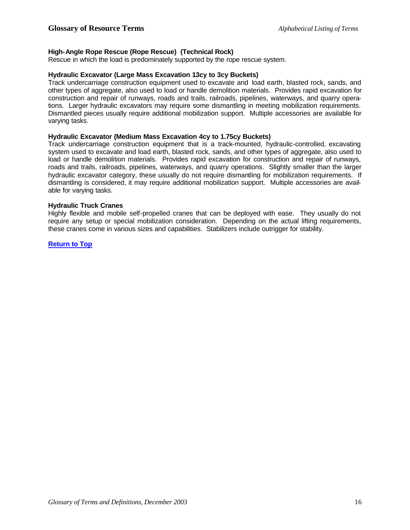#### **High-Angle Rope Rescue (Rope Rescue) (Technical Rock)**

Rescue in which the load is predominately supported by the rope rescue system.

#### **Hydraulic Excavator (Large Mass Excavation 13cy to 3cy Buckets)**

Track undercarriage construction equipment used to excavate and load earth, blasted rock, sands, and other types of aggregate, also used to load or handle demolition materials. Provides rapid excavation for construction and repair of runways, roads and trails, railroads, pipelines, waterways, and quarry operations. Larger hydraulic excavators may require some dismantling in meeting mobilization requirements. Dismantled pieces usually require additional mobilization support. Multiple accessories are available for varying tasks.

#### **Hydraulic Excavator (Medium Mass Excavation 4cy to 1.75cy Buckets)**

Track undercarriage construction equipment that is a track-mounted, hydraulic-controlled, excavating system used to excavate and load earth, blasted rock, sands, and other types of aggregate, also used to load or handle demolition materials. Provides rapid excavation for construction and repair of runways, roads and trails, railroads, pipelines, waterways, and quarry operations. Slightly smaller than the larger hydraulic excavator category, these usually do not require dismantling for mobilization requirements. If dismantling is considered, it may require additional mobilization support. Multiple accessories are available for varying tasks.

#### **Hydraulic Truck Cranes**

Highly flexible and mobile self-propelled cranes that can be deployed with ease. They usually do not require any setup or special mobilization consideration. Depending on the actual lifting requirements, these cranes come in various sizes and capabilities. Stabilizers include outrigger for stability.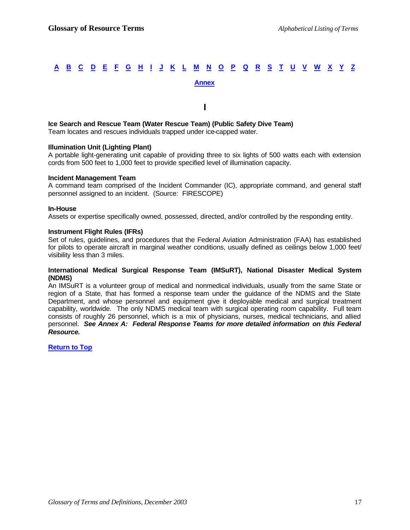#### **I**

### **Ice Search and Rescue Team (Water Rescue Team) (Public Safety Dive Team)**

Team locates and rescues individuals trapped under ice-capped water.

#### **Illumination Unit (Lighting Plant)**

A portable light-generating unit capable of providing three to six lights of 500 watts each with extension cords from 500 feet to 1,000 feet to provide specified level of illumination capacity.

#### **Incident Management Team**

A command team comprised of the Incident Commander (IC), appropriate command, and general staff personnel assigned to an incident. (Source: FIRESCOPE)

#### **In-House**

Assets or expertise specifically owned, possessed, directed, and/or controlled by the responding entity.

#### **Instrument Flight Rules (IFRs)**

Set of rules, guidelines, and procedures that the Federal Aviation Administration (FAA) has established for pilots to operate aircraft in marginal weather conditions, usually defined as ceilings below 1,000 feet/ visibility less than 3 miles.

#### **International Medical Surgical Response Team (IMSuRT), National Disaster Medical System (NDMS)**

An IMSuRT is a volunteer group of medical and nonmedical individuals, usually from the same State or region of a State, that has formed a response team under the guidance of the NDMS and the State Department, and whose personnel and equipment give it deployable medical and surgical treatment capability, worldwide. The only NDMS medical team with surgical operating room capability. Full team consists of roughly 26 personnel, which is a mix of physicians, nurses, medical technicians, and allied personnel. *See Annex A: Federal Response Teams for more detailed information on this Federal Resource.*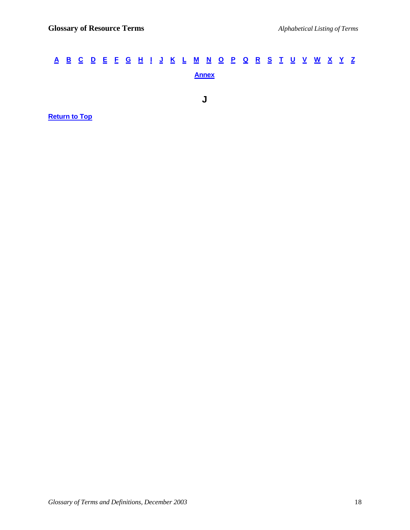**J**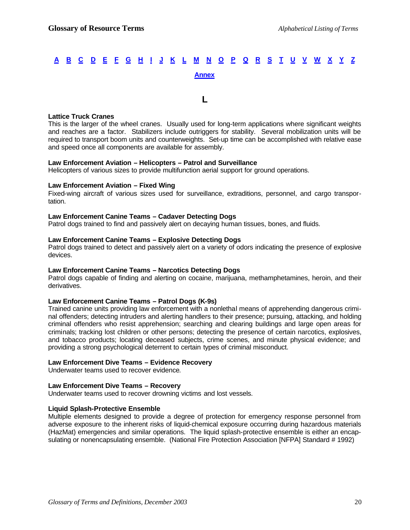**L**

#### **Lattice Truck Cranes**

This is the larger of the wheel cranes. Usually used for long-term applications where significant weights and reaches are a factor. Stabilizers include outriggers for stability. Several mobilization units will be required to transport boom units and counterweights. Set-up time can be accomplished with relative ease and speed once all components are available for assembly.

#### **Law Enforcement Aviation – Helicopters – Patrol and Surveillance**

Helicopters of various sizes to provide multifunction aerial support for ground operations.

#### **Law Enforcement Aviation – Fixed Wing**

Fixed-wing aircraft of various sizes used for surveillance, extraditions, personnel, and cargo transportation.

#### **Law Enforcement Canine Teams – Cadaver Detecting Dogs**

Patrol dogs trained to find and passively alert on decaying human tissues, bones, and fluids.

#### **Law Enforcement Canine Teams – Explosive Detecting Dogs**

Patrol dogs trained to detect and passively alert on a variety of odors indicating the presence of explosive devices.

#### **Law Enforcement Canine Teams – Narcotics Detecting Dogs**

Patrol dogs capable of finding and alerting on cocaine, marijuana, methamphetamines, heroin, and their derivatives.

#### **Law Enforcement Canine Teams – Patrol Dogs (K-9s)**

Trained canine units providing law enforcement with a nonlethal means of apprehending dangerous criminal offenders; detecting intruders and alerting handlers to their presence; pursuing, attacking, and holding criminal offenders who resist apprehension; searching and clearing buildings and large open areas for criminals; tracking lost children or other persons; detecting the presence of certain narcotics, explosives, and tobacco products; locating deceased subjects, crime scenes, and minute physical evidence; and providing a strong psychological deterrent to certain types of criminal misconduct.

#### **Law Enforcement Dive Teams – Evidence Recovery**

Underwater teams used to recover evidence.

#### **Law Enforcement Dive Teams – Recovery**

Underwater teams used to recover drowning victims and lost vessels.

#### **Liquid Splash-Protective Ensemble**

Multiple elements designed to provide a degree of protection for emergency response personnel from adverse exposure to the inherent risks of liquid-chemical exposure occurring during hazardous materials (HazMat) emergencies and similar operations. The liquid splash-protective ensemble is either an encapsulating or nonencapsulating ensemble. (National Fire Protection Association [NFPA] Standard # 1992)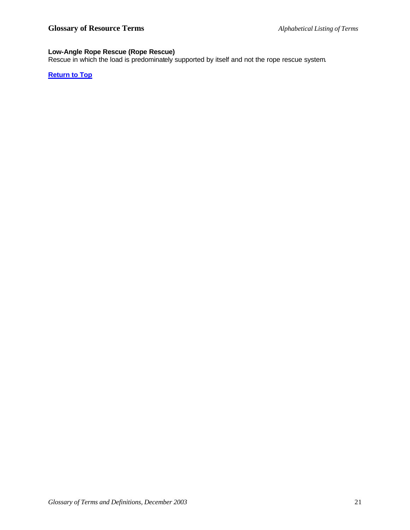#### **Low-Angle Rope Rescue (Rope Rescue)**

Rescue in which the load is predominately supported by itself and not the rope rescue system.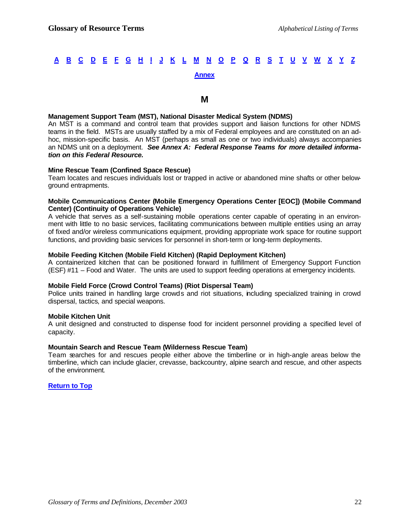#### **M**

#### **Management Support Team (MST), National Disaster Medical System (NDMS)**

An MST is a command and control team that provides support and liaison functions for other NDMS teams in the field. MSTs are usually staffed by a mix of Federal employees and are constituted on an adhoc, mission-specific basis. An MST (perhaps as small as one or two individuals) always accompanies an NDMS unit on a deployment. *See Annex A: Federal Response Teams for more detailed information on this Federal Resource.*

#### **Mine Rescue Team (Confined Space Rescue)**

Team locates and rescues individuals lost or trapped in active or abandoned mine shafts or other belowground entrapments.

#### **Mobile Communications Center (Mobile Emergency Operations Center [EOC]) (Mobile Command Center) (Continuity of Operations Vehicle)**

A vehicle that serves as a self-sustaining mobile operations center capable of operating in an environment with little to no basic services, facilitating communications between multiple entities using an array of fixed and/or wireless communications equipment, providing appropriate work space for routine support functions, and providing basic services for personnel in short-term or long-term deployments.

#### **Mobile Feeding Kitchen (Mobile Field Kitchen) (Rapid Deployment Kitchen)**

A containerized kitchen that can be positioned forward in fulfillment of Emergency Support Function (ESF) #11 – Food and Water. The units are used to support feeding operations at emergency incidents.

#### **Mobile Field Force (Crowd Control Teams) (Riot Dispersal Team)**

Police units trained in handling large crowds and riot situations, including specialized training in crowd dispersal, tactics, and special weapons.

#### **Mobile Kitchen Unit**

A unit designed and constructed to dispense food for incident personnel providing a specified level of capacity.

#### **Mountain Search and Rescue Team (Wilderness Rescue Team)**

Team searches for and rescues people either above the timberline or in high-angle areas below the timberline, which can include glacier, crevasse, backcountry, alpine search and rescue, and other aspects of the environment.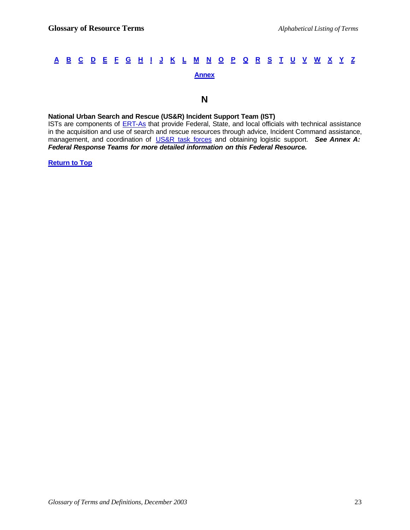#### **N**

#### **National Urban Search and Rescue (US&R) Incident Support Team (IST)**

ISTs are components of **ERT-As** that provide Federal, State, and local officials with technical assistance in the acquisition and use of search and rescue resources through advice, Incident Command assistance, management, and coordination of US&R task forces and obtaining logistic support. *See Annex A: Federal Response Teams for more detailed information on this Federal Resource.*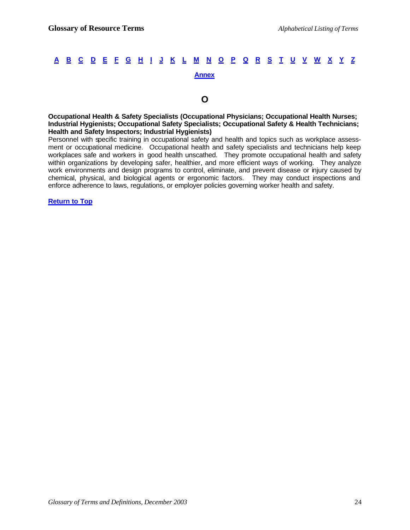#### **O**

**Occupational Health & Safety Specialists (Occupational Physicians; Occupational Health Nurses; Industrial Hygienists; Occupational Safety Specialists; Occupational Safety & Health Technicians; Health and Safety Inspectors; Industrial Hygienists)**

Personnel with specific training in occupational safety and health and topics such as workplace assessment or occupational medicine. Occupational health and safety specialists and technicians help keep workplaces safe and workers in good health unscathed. They promote occupational health and safety within organizations by developing safer, healthier, and more efficient ways of working. They analyze work environments and design programs to control, eliminate, and prevent disease or injury caused by chemical, physical, and biological agents or ergonomic factors. They may conduct inspections and enforce adherence to laws, regulations, or employer policies governing worker health and safety.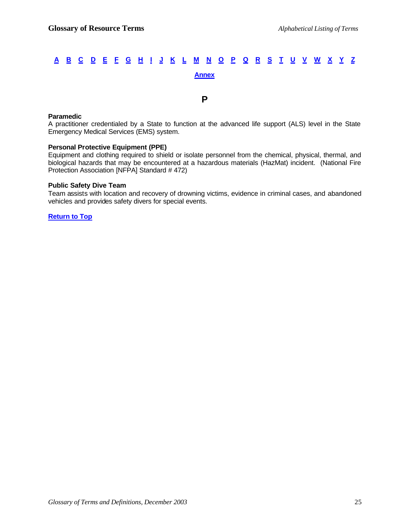#### **P**

#### **Paramedic**

A practitioner credentialed by a State to function at the advanced life support (ALS) level in the State Emergency Medical Services (EMS) system.

#### **Personal Protective Equipment (PPE)**

Equipment and clothing required to shield or isolate personnel from the chemical, physical, thermal, and biological hazards that may be encountered at a hazardous materials (HazMat) incident. (National Fire Protection Association [NFPA] Standard # 472)

#### **Public Safety Dive Team**

Team assists with location and recovery of drowning victims, evidence in criminal cases, and abandoned vehicles and provides safety divers for special events.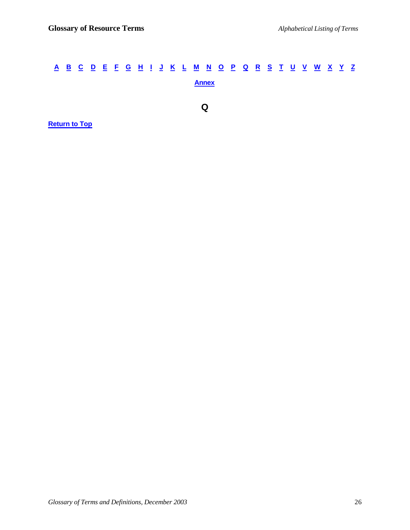# A B C D E F G H I J K L M N O P Q R S T U V W X Y Z **Annex Q Return to Top**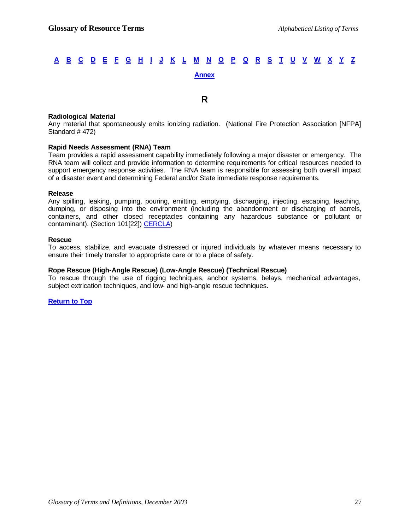**R**

#### **Radiological Material**

Any material that spontaneously emits ionizing radiation. (National Fire Protection Association [NFPA] Standard # 472)

#### **Rapid Needs Assessment (RNA) Team**

Team provides a rapid assessment capability immediately following a major disaster or emergency. The RNA team will collect and provide information to determine requirements for critical resources needed to support emergency response activities. The RNA team is responsible for assessing both overall impact of a disaster event and determining Federal and/or State immediate response requirements.

#### **Release**

Any spilling, leaking, pumping, pouring, emitting, emptying, discharging, injecting, escaping, leaching, dumping, or disposing into the environment (including the abandonment or discharging of barrels, containers, and other closed receptacles containing any hazardous substance or pollutant or contaminant). (Section 101[22]) CERCLA)

#### **Rescue**

To access, stabilize, and evacuate distressed or injured individuals by whatever means necessary to ensure their timely transfer to appropriate care or to a place of safety.

#### **Rope Rescue (High-Angle Rescue) (Low-Angle Rescue) (Technical Rescue)**

To rescue through the use of rigging techniques, anchor systems, belays, mechanical advantages, subject extrication techniques, and low- and high-angle rescue techniques.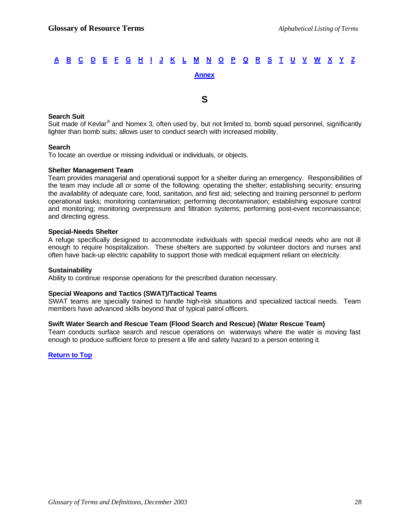#### **S**

#### **Search Suit**

Suit made of Kevlar<sup>®</sup> and Nomex 3, often used by, but not limited to, bomb squad personnel, significantly lighter than bomb suits; allows user to conduct search with increased mobility.

#### **Search**

To locate an overdue or missing individual or individuals, or objects.

#### **Shelter Management Team**

Team provides managerial and operational support for a shelter during an emergency. Responsibilities of the team may include all or some of the following: operating the shelter; establishing security; ensuring the availability of adequate care, food, sanitation, and first aid; selecting and training personnel to perform operational tasks; monitoring contamination; performing decontamination; establishing exposure control and monitoring; monitoring overpressure and filtration systems; performing post-event reconnaissance; and directing egress.

#### **Special-Needs Shelter**

A refuge specifically designed to accommodate individuals with special medical needs who are not ill enough to require hospitalization. These shelters are supported by volunteer doctors and nurses and often have back-up electric capability to support those with medical equipment reliant on electricity.

#### **Sustainability**

Ability to continue response operations for the prescribed duration necessary.

#### **Special Weapons and Tactics (SWAT)/Tactical Teams**

SWAT teams are specially trained to handle high-risk situations and specialized tactical needs. Team members have advanced skills beyond that of typical patrol officers.

#### **Swift Water Search and Rescue Team (Flood Search and Rescue) (Water Rescue Team)**

Team conducts surface search and rescue operations on waterways where the water is moving fast enough to produce sufficient force to present a life and safety hazard to a person entering it.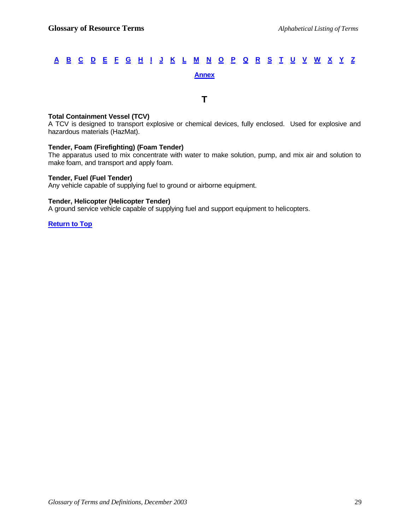**T**

#### **Total Containment Vessel (TCV)**

A TCV is designed to transport explosive or chemical devices, fully enclosed. Used for explosive and hazardous materials (HazMat).

#### **Tender, Foam (Firefighting) (Foam Tender)**

The apparatus used to mix concentrate with water to make solution, pump, and mix air and solution to make foam, and transport and apply foam.

#### **Tender, Fuel (Fuel Tender)**

Any vehicle capable of supplying fuel to ground or airborne equipment.

#### **Tender, Helicopter (Helicopter Tender)**

A ground service vehicle capable of supplying fuel and support equipment to helicopters.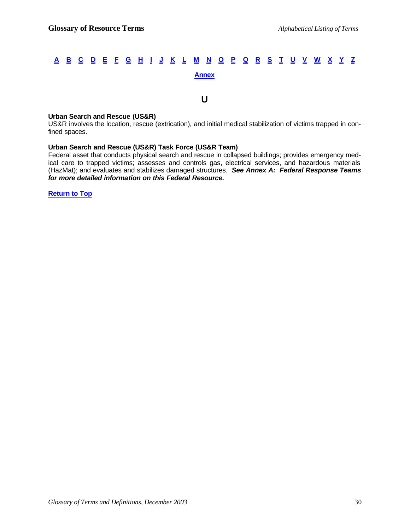**U**

#### **Urban Search and Rescue (US&R)**

US&R involves the location, rescue (extrication), and initial medical stabilization of victims trapped in confined spaces.

#### **Urban Search and Rescue (US&R) Task Force (US&R Team)**

Federal asset that conducts physical search and rescue in collapsed buildings; provides emergency medical care to trapped victims; assesses and controls gas, electrical services, and hazardous materials (HazMat); and evaluates and stabilizes damaged structures. *See Annex A: Federal Response Teams for more detailed information on this Federal Resource.*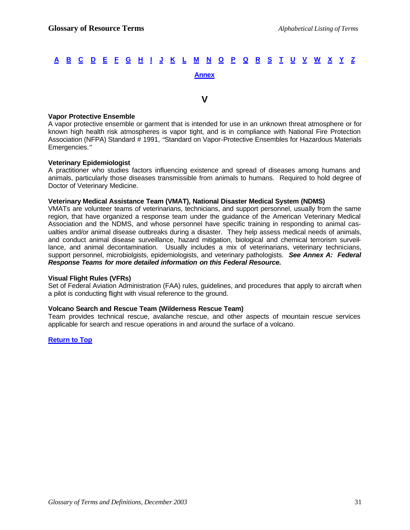#### **V**

#### **Vapor Protective Ensemble**

A vapor protective ensemble or garment that is intended for use in an unknown threat atmosphere or for known high health risk atmospheres is vapor tight, and is in compliance with National Fire Protection Association (NFPA) Standard # 1991, "Standard on Vapor-Protective Ensembles for Hazardous Materials Emergencies."

#### **Veterinary Epidemiologist**

A practitioner who studies factors influencing existence and spread of diseases among humans and animals, particularly those diseases transmissible from animals to humans. Required to hold degree of Doctor of Veterinary Medicine.

#### **Veterinary Medical Assistance Team (VMAT), National Disaster Medical System (NDMS)**

VMATs are volunteer teams of veterinarians, technicians, and support personnel, usually from the same region, that have organized a response team under the guidance of the American Veterinary Medical Association and the NDMS, and whose personnel have specific training in responding to animal casualties and/or animal disease outbreaks during a disaster. They help assess medical needs of animals, and conduct animal disease surveillance, hazard mitigation, biological and chemical terrorism surveillance, and animal decontamination. Usually includes a mix of veterinarians, veterinary technicians, support personnel, microbiolgists, epidemiologists, and veterinary pathologists. *See Annex A: Federal Response Teams for more detailed information on this Federal Resource.*

#### **Visual Flight Rules (VFRs)**

Set of Federal Aviation Administration (FAA) rules, guidelines, and procedures that apply to aircraft when a pilot is conducting flight with visual reference to the ground.

#### **Volcano Search and Rescue Team (Wilderness Rescue Team)**

Team provides technical rescue, avalanche rescue, and other aspects of mountain rescue services applicable for search and rescue operations in and around the surface of a volcano.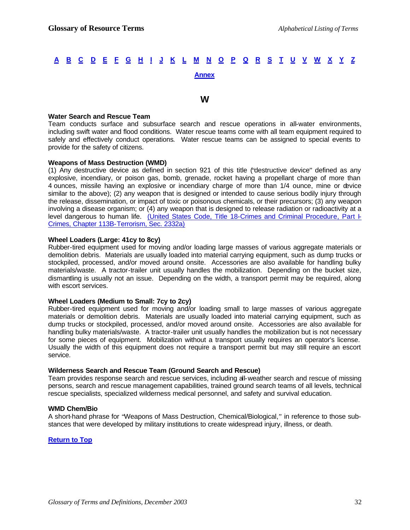#### **W**

#### **Water Search and Rescue Team**

Team conducts surface and subsurface search and rescue operations in all-water environments, including swift water and flood conditions. Water rescue teams come with all team equipment required to safely and effectively conduct operations. Water rescue teams can be assigned to special events to provide for the safety of citizens.

#### **Weapons of Mass Destruction (WMD)**

(1) Any destructive device as defined in section 921 of this title ("destructive device" defined as any explosive, incendiary, or poison gas, bomb, grenade, rocket having a propellant charge of more than 4 ounces, missile having an explosive or incendiary charge of more than 1/4 ounce, mine or device similar to the above); (2) any weapon that is designed or intended to cause serious bodily injury through the release, dissemination, or impact of toxic or poisonous chemicals, or their precursors; (3) any weapon involving a disease organism; or (4) any weapon that is designed to release radiation or radioactivity at a level dangerous to human life. (United States Code, Title 18-Crimes and Criminal Procedure, Part I-Crimes, Chapter 113B-Terrorism, Sec. 2332a)

#### **Wheel Loaders (Large: 41cy to 8cy)**

Rubber-tired equipment used for moving and/or loading large masses of various aggregate materials or demolition debris. Materials are usually loaded into material carrying equipment, such as dump trucks or stockpiled, processed, and/or moved around onsite. Accessories are also available for handling bulky materials/waste. A tractor-trailer unit usually handles the mobilization. Depending on the bucket size, dismantling is usually not an issue. Depending on the width, a transport permit may be required, along with escort services.

#### **Wheel Loaders (Medium to Small: 7cy to 2cy)**

Rubber-tired equipment used for moving and/or loading small to large masses of various aggregate materials or demolition debris. Materials are usually loaded into material carrying equipment, such as dump trucks or stockpiled, processed, and/or moved around onsite. Accessories are also available for handling bulky materials/waste. A tractor-trailer unit usually handles the mobilization but is not necessary for some pieces of equipment. Mobilization without a transport usually requires an operator's license. Usually the width of this equipment does not require a transport permit but may still require an escort service.

#### **Wilderness Search and Rescue Team (Ground Search and Rescue)**

Team provides response search and rescue services, including all-weather search and rescue of missing persons, search and rescue management capabilities, trained ground search teams of all levels, technical rescue specialists, specialized wilderness medical personnel, and safety and survival education.

#### **WMD Chem/Bio**

A short-hand phrase for "Weapons of Mass Destruction, Chemical/Biological," in reference to those substances that were developed by military institutions to create widespread injury, illness, or death.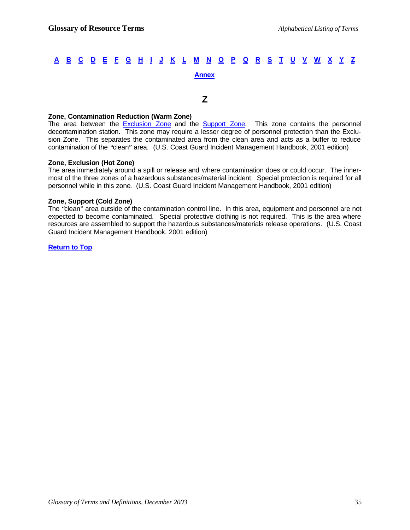#### **Z**

#### **Zone, Contamination Reduction (Warm Zone)**

The area between the **Exclusion Zone** and the **Support Zone**. This zone contains the personnel decontamination station. This zone may require a lesser degree of personnel protection than the Exclusion Zone. This separates the contaminated area from the clean area and acts as a buffer to reduce contamination of the "clean" area. (U.S. Coast Guard Incident Management Handbook, 2001 edition)

#### **Zone, Exclusion (Hot Zone)**

The area immediately around a spill or release and where contamination does or could occur. The innermost of the three zones of a hazardous substances/material incident. Special protection is required for all personnel while in this zone. (U.S. Coast Guard Incident Management Handbook, 2001 edition)

#### **Zone, Support (Cold Zone)**

The "clean" area outside of the contamination control line. In this area, equipment and personnel are not expected to become contaminated. Special protective clothing is not required. This is the area where resources are assembled to support the hazardous substances/materials release operations. (U.S. Coast Guard Incident Management Handbook, 2001 edition)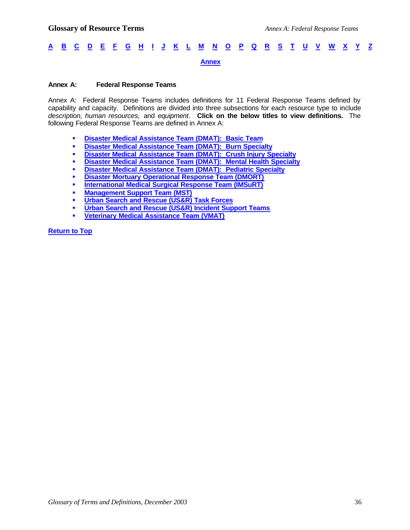#### **Annex A: Federal Response Teams**

Annex A: Federal Response Teams includes definitions for 11 Federal Response Teams defined by capability and capacity. Definitions are divided into three subsections for each resource type to include *description, human resources,* and *equipment*. **Click on the below titles to view definitions.** The following Federal Response Teams are defined in Annex A:

- ß **Disaster Medical Assistance Team (DMAT): Basic Team**
- **Example 3** Disaster Medical Assistance Team (DMAT): Burn Specialty
- **Example 3 Disaster Medical Assistance Team (DMAT): Crush Injury Specialty**
- **Example 3 Disaster Medical Assistance Team (DMAT): Mental Health Specialty**
- **Example 3 Disaster Medical Assistance Team (DMAT): Pediatric Specialty**
- **EDISASTER Mortuary Operational Response Team (DMORT)**
- **Example 2 International Medical Surgical Response Team (IMSuRT)**
- **E** Management Support Team (MST)
- ß **Urban Search and Rescue (US&R) Task Forces**
- **EDURE 3.1 Urban Search and Rescue (US&R) Incident Support Teams**
- ß **Veterinary Medical Assistance Team (VMAT)**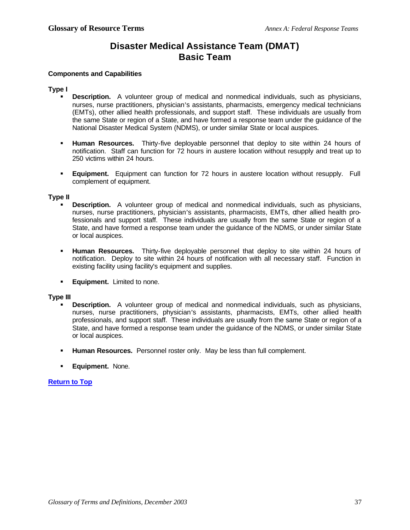### **Disaster Medical Assistance Team (DMAT) Basic Team**

#### **Components and Capabilities**

#### **Type I**

- **Description.** A volunteer group of medical and nonmedical individuals, such as physicians, nurses, nurse practitioners, physician's assistants, pharmacists, emergency medical technicians (EMTs), other allied health professionals, and support staff. These individuals are usually from the same State or region of a State, and have formed a response team under the guidance of the National Disaster Medical System (NDMS), or under similar State or local auspices.
- **Human Resources.** Thirty-five deployable personnel that deploy to site within 24 hours of notification. Staff can function for 72 hours in austere location without resupply and treat up to 250 victims within 24 hours.
- **Equipment.** Equipment can function for 72 hours in austere location without resupply. Full complement of equipment.

#### **Type II**

- **Description.** A volunteer group of medical and nonmedical individuals, such as physicians, nurses, nurse practitioners, physician's assistants, pharmacists, EMTs, other allied health professionals and support staff. These individuals are usually from the same State or region of a State, and have formed a response team under the guidance of the NDMS, or under similar State or local auspices.
- ß **Human Resources.** Thirty-five deployable personnel that deploy to site within 24 hours of notification. Deploy to site within 24 hours of notification with all necessary staff. Function in existing facility using facility's equipment and supplies.
- **Equipment.** Limited to none.

#### **Type III**

- **Description.** A volunteer group of medical and nonmedical individuals, such as physicians, nurses, nurse practitioners, physician's assistants, pharmacists, EMTs, other allied health professionals, and support staff. These individuals are usually from the same State or region of a State, and have formed a response team under the guidance of the NDMS, or under similar State or local auspices.
- **Human Resources.** Personnel roster only. May be less than full complement.
- ß **Equipment.** None.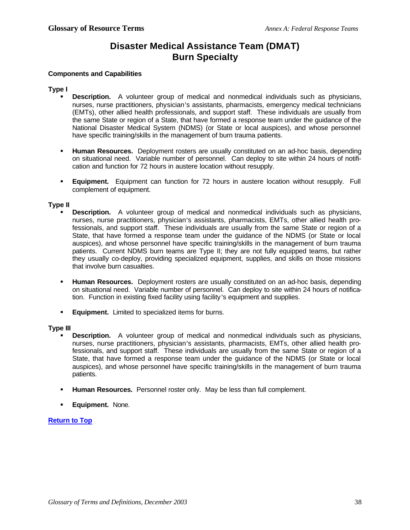### **Disaster Medical Assistance Team (DMAT) Burn Specialty**

#### **Components and Capabilities**

#### **Type I**

- **Description.** A volunteer group of medical and nonmedical individuals such as physicians, nurses, nurse practitioners, physician's assistants, pharmacists, emergency medical technicians (EMTs), other allied health professionals, and support staff. These individuals are usually from the same State or region of a State, that have formed a response team under the guidance of the National Disaster Medical System (NDMS) (or State or local auspices), and whose personnel have specific training/skills in the management of burn trauma patients.
- **Human Resources.** Deployment rosters are usually constituted on an ad-hoc basis, depending on situational need. Variable number of personnel. Can deploy to site within 24 hours of notification and function for 72 hours in austere location without resupply.
- **Equipment.** Equipment can function for 72 hours in austere location without resupply. Full complement of equipment.

#### **Type II**

- **Description.** A volunteer group of medical and nonmedical individuals such as physicians, nurses, nurse practitioners, physician's assistants, pharmacists, EMTs, other allied health professionals, and support staff. These individuals are usually from the same State or region of a State, that have formed a response team under the guidance of the NDMS (or State or local auspices), and whose personnel have specific training/skills in the management of burn trauma patients. Current NDMS burn teams are Type II; they are not fully equipped teams, but rather they usually co-deploy, providing specialized equipment, supplies, and skills on those missions that involve burn casualties.
- **Human Resources.** Deployment rosters are usually constituted on an ad-hoc basis, depending on situational need. Variable number of personnel. Can deploy to site within 24 hours of notification. Function in existing fixed facility using facility's equipment and supplies.
- **Equipment.** Limited to specialized items for burns.

#### **Type III**

- **Description.** A volunteer group of medical and nonmedical individuals such as physicians, nurses, nurse practitioners, physician's assistants, pharmacists, EMTs, other allied health professionals, and support staff. These individuals are usually from the same State or region of a State, that have formed a response team under the guidance of the NDMS (or State or local auspices), and whose personnel have specific training/skills in the management of burn trauma patients.
- **Human Resources.** Personnel roster only. May be less than full complement.
- ß **Equipment.** None.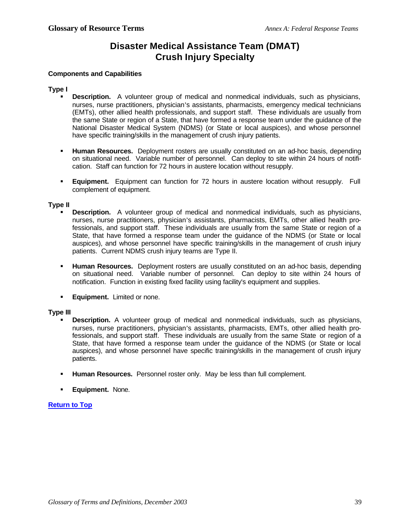### **Disaster Medical Assistance Team (DMAT) Crush Injury Specialty**

#### **Components and Capabilities**

#### **Type I**

- **Description.** A volunteer group of medical and nonmedical individuals, such as physicians, nurses, nurse practitioners, physician's assistants, pharmacists, emergency medical technicians (EMTs), other allied health professionals, and support staff. These individuals are usually from the same State or region of a State, that have formed a response team under the guidance of the National Disaster Medical System (NDMS) (or State or local auspices), and whose personnel have specific training/skills in the management of crush injury patients.
- **Human Resources.** Deployment rosters are usually constituted on an ad-hoc basis, depending on situational need. Variable number of personnel. Can deploy to site within 24 hours of notification. Staff can function for 72 hours in austere location without resupply.
- **Equipment.** Equipment can function for 72 hours in austere location without resupply. Full complement of equipment.

#### **Type II**

- **Description.** A volunteer group of medical and nonmedical individuals, such as physicians, nurses, nurse practitioners, physician's assistants, pharmacists, EMTs, other allied health professionals, and support staff. These individuals are usually from the same State or region of a State, that have formed a response team under the guidance of the NDMS (or State or local auspices), and whose personnel have specific training/skills in the management of crush injury patients. Current NDMS crush injury teams are Type II.
- **Human Resources.** Deployment rosters are usually constituted on an ad-hoc basis, depending on situational need. Variable number of personnel. Can deploy to site within 24 hours of notification. Function in existing fixed facility using facility's equipment and supplies.
- **Equipment.** Limited or none.

#### **Type III**

- **Description.** A volunteer group of medical and nonmedical individuals, such as physicians, nurses, nurse practitioners, physician's assistants, pharmacists, EMTs, other allied health professionals, and support staff. These individuals are usually from the same State or region of a State, that have formed a response team under the guidance of the NDMS (or State or local auspices), and whose personnel have specific training/skills in the management of crush injury patients.
- **Human Resources.** Personnel roster only. May be less than full complement.
- **Equipment. None.**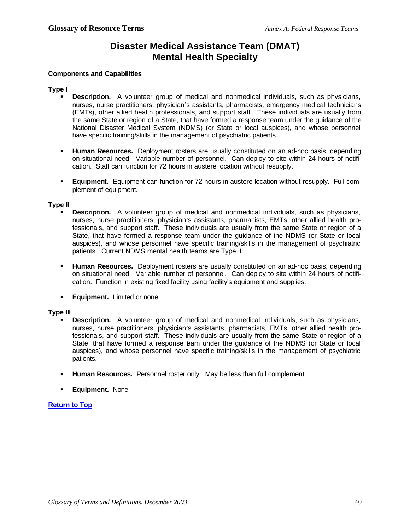### **Disaster Medical Assistance Team (DMAT) Mental Health Specialty**

#### **Components and Capabilities**

#### **Type I**

- **Description.** A volunteer group of medical and nonmedical individuals, such as physicians, nurses, nurse practitioners, physician's assistants, pharmacists, emergency medical technicians (EMTs), other allied health professionals, and support staff. These individuals are usually from the same State or region of a State, that have formed a response team under the guidance of the National Disaster Medical System (NDMS) (or State or local auspices), and whose personnel have specific training/skills in the management of psychiatric patients.
- **Human Resources.** Deployment rosters are usually constituted on an ad-hoc basis, depending on situational need. Variable number of personnel. Can deploy to site within 24 hours of notification. Staff can function for 72 hours in austere location without resupply.
- **Equipment.** Equipment can function for 72 hours in austere location without resupply. Full complement of equipment.

#### **Type II**

- **Description.** A volunteer group of medical and nonmedical individuals, such as physicians, nurses, nurse practitioners, physician's assistants, pharmacists, EMTs, other allied health professionals, and support staff. These individuals are usually from the same State or region of a State, that have formed a response team under the guidance of the NDMS (or State or local auspices), and whose personnel have specific training/skills in the management of psychiatric patients. Current NDMS mental health teams are Type II.
- **Human Resources.** Deployment rosters are usually constituted on an ad-hoc basis, depending on situational need. Variable number of personnel. Can deploy to site within 24 hours of notification. Function in existing fixed facility using facility's equipment and supplies.
- **Equipment.** Limited or none.

#### **Type III**

- **Description.** A volunteer group of medical and nonmedical individuals, such as physicians, nurses, nurse practitioners, physician's assistants, pharmacists, EMTs, other allied health professionals, and support staff. These individuals are usually from the same State or region of a State, that have formed a response team under the guidance of the NDMS (or State or local auspices), and whose personnel have specific training/skills in the management of psychiatric patients.
- **Human Resources.** Personnel roster only. May be less than full complement.
- **Equipment. None.**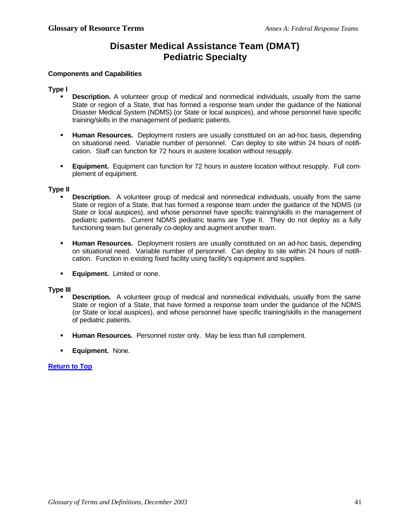### **Disaster Medical Assistance Team (DMAT) Pediatric Specialty**

#### **Components and Capabilities**

#### **Type I**

- ß **Description.** A volunteer group of medical and nonmedical individuals, usually from the same State or region of a State, that has formed a response team under the guidance of the National Disaster Medical System (NDMS) (or State or local auspices), and whose personnel have specific training/skills in the management of pediatric patients.
- **Human Resources.** Deployment rosters are usually constituted on an ad-hoc basis, depending on situational need. Variable number of personnel. Can deploy to site within 24 hours of notification. Staff can function for 72 hours in austere location without resupply.
- ß **Equipment.** Equipment can function for 72 hours in austere location without resupply. Full complement of equipment.

#### **Type II**

- **Description.** A volunteer group of medical and nonmedical individuals, usually from the same State or region of a State, that has formed a response team under the guidance of the NDMS (or State or local auspices), and whose personnel have specific training/skills in the management of pediatric patients. Current NDMS pediatric teams are Type II. They do not deploy as a fully functioning team but generally co-deploy and augment another team.
- **Human Resources.** Deployment rosters are usually constituted on an ad-hoc basis, depending on situational need. Variable number of personnel. Can deploy to site within 24 hours of notification. Function in existing fixed facility using facility's equipment and supplies.
- **Equipment.** Limited or none.

#### **Type III**

- **Description.** A volunteer group of medical and nonmedical individuals, usually from the same State or region of a State, that have formed a response team under the guidance of the NDMS (or State or local auspices), and whose personnel have specific training/skills in the management of pediatric patients.
- **Human Resources.** Personnel roster only. May be less than full complement.
- ß **Equipment.** None.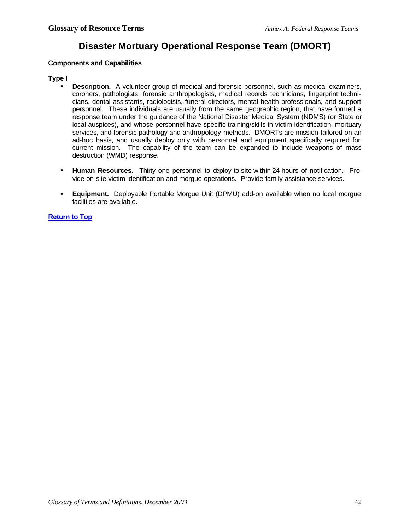### **Disaster Mortuary Operational Response Team (DMORT)**

#### **Components and Capabilities**

#### **Type I**

- **Description.** A volunteer group of medical and forensic personnel, such as medical examiners, coroners, pathologists, forensic anthropologists, medical records technicians, fingerprint technicians, dental assistants, radiologists, funeral directors, mental health professionals, and support personnel. These individuals are usually from the same geographic region, that have formed a response team under the guidance of the National Disaster Medical System (NDMS) (or State or local auspices), and whose personnel have specific training/skills in victim identification, mortuary services, and forensic pathology and anthropology methods. DMORTs are mission-tailored on an ad-hoc basis, and usually deploy only with personnel and equipment specifically required for current mission. The capability of the team can be expanded to include weapons of mass destruction (WMD) response.
- **Human Resources.** Thirty-one personnel to deploy to site within 24 hours of notification. Provide on-site victim identification and morgue operations. Provide family assistance services.
- ß **Equipment.** Deployable Portable Morgue Unit (DPMU) add-on available when no local morgue facilities are available.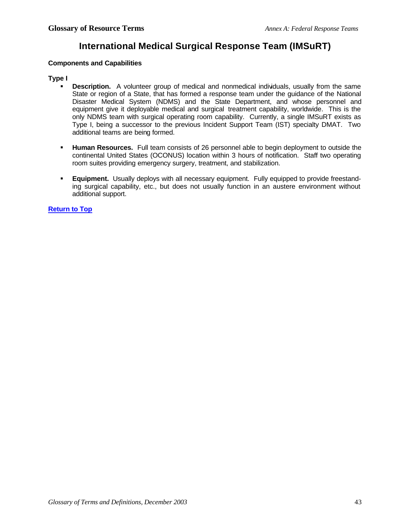### **International Medical Surgical Response Team (IMSuRT)**

#### **Components and Capabilities**

#### **Type I**

- **Description.** A volunteer group of medical and nonmedical individuals, usually from the same State or region of a State, that has formed a response team under the guidance of the National Disaster Medical System (NDMS) and the State Department, and whose personnel and equipment give it deployable medical and surgical treatment capability, worldwide. This is the only NDMS team with surgical operating room capability. Currently, a single IMSuRT exists as Type I, being a successor to the previous Incident Support Team (IST) specialty DMAT. Two additional teams are being formed.
- **Human Resources.** Full team consists of 26 personnel able to begin deployment to outside the continental United States (OCONUS) location within 3 hours of notification. Staff two operating room suites providing emergency surgery, treatment, and stabilization.
- **Equipment.** Usually deploys with all necessary equipment. Fully equipped to provide freestanding surgical capability, etc., but does not usually function in an austere environment without additional support.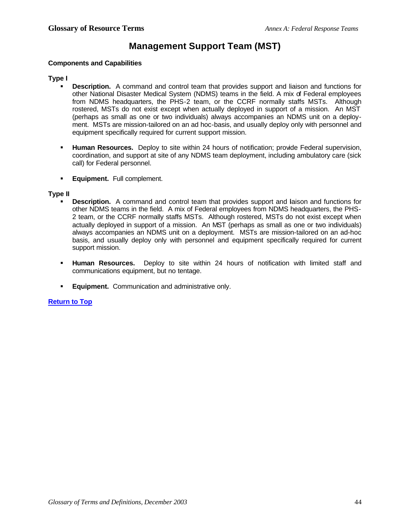### **Management Support Team (MST)**

#### **Components and Capabilities**

#### **Type I**

- ß **Description.** A command and control team that provides support and liaison and functions for other National Disaster Medical System (NDMS) teams in the field. A mix of Federal employees from NDMS headquarters, the PHS-2 team, or the CCRF normally staffs MSTs. Although rostered, MSTs do not exist except when actually deployed in support of a mission. An MST (perhaps as small as one or two individuals) always accompanies an NDMS unit on a deployment. MSTs are mission-tailored on an ad hoc-basis, and usually deploy only with personnel and equipment specifically required for current support mission.
- ß **Human Resources.** Deploy to site within 24 hours of notification; provide Federal supervision, coordination, and support at site of any NDMS team deployment, including ambulatory care (sick call) for Federal personnel.
- **Equipment.** Full complement.

#### **Type II**

- **Description.** A command and control team that provides support and laison and functions for other NDMS teams in the field. A mix of Federal employees from NDMS headquarters, the PHS-2 team, or the CCRF normally staffs MSTs. Although rostered, MSTs do not exist except when actually deployed in support of a mission. An MST (perhaps as small as one or two individuals) always accompanies an NDMS unit on a deployment. MSTs are mission-tailored on an ad-hoc basis, and usually deploy only with personnel and equipment specifically required for current support mission.
- ß **Human Resources.** Deploy to site within 24 hours of notification with limited staff and communications equipment, but no tentage.
- **Equipment.** Communication and administrative only.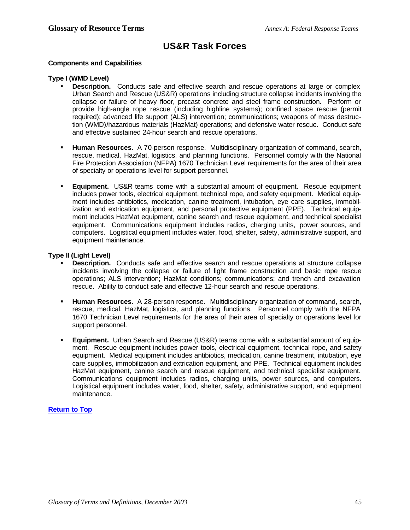### **US&R Task Forces**

#### **Components and Capabilities**

#### **Type I (WMD Level)**

- **Description.** Conducts safe and effective search and rescue operations at large or complex Urban Search and Rescue (US&R) operations including structure collapse incidents involving the collapse or failure of heavy floor, precast concrete and steel frame construction. Perform or provide high-angle rope rescue (including highline systems); confined space rescue (permit required); advanced life support (ALS) intervention; communications; weapons of mass destruction (WMD)/hazardous materials (HazMat) operations; and defensive water rescue. Conduct safe and effective sustained 24-hour search and rescue operations.
- ß **Human Resources.** A 70-person response. Multidisciplinary organization of command, search, rescue, medical, HazMat, logistics, and planning functions. Personnel comply with the National Fire Protection Association (NFPA) 1670 Technician Level requirements for the area of their area of specialty or operations level for support personnel.
- ß **Equipment.** US&R teams come with a substantial amount of equipment. Rescue equipment includes power tools, electrical equipment, technical rope, and safety equipment. Medical equipment includes antibiotics, medication, canine treatment, intubation, eye care supplies, immobilization and extrication equipment, and personal protective equipment (PPE). Technical equipment includes HazMat equipment, canine search and rescue equipment, and technical specialist equipment. Communications equipment includes radios, charging units, power sources, and computers. Logistical equipment includes water, food, shelter, safety, administrative support, and equipment maintenance.

#### **Type II (Light Level)**

- **Description.** Conducts safe and effective search and rescue operations at structure collapse incidents involving the collapse or failure of light frame construction and basic rope rescue operations; ALS intervention; HazMat conditions; communications; and trench and excavation rescue. Ability to conduct safe and effective 12-hour search and rescue operations.
- **Human Resources.** A 28-person response. Multidisciplinary organization of command, search, rescue, medical, HazMat, logistics, and planning functions. Personnel comply with the NFPA 1670 Technician Level requirements for the area of their area of specialty or operations level for support personnel.
- **Equipment.** Urban Search and Rescue (US&R) teams come with a substantial amount of equipment. Rescue equipment includes power tools, electrical equipment, technical rope, and safety equipment. Medical equipment includes antibiotics, medication, canine treatment, intubation, eye care supplies, immobilization and extrication equipment, and PPE. Technical equipment includes HazMat equipment, canine search and rescue equipment, and technical specialist equipment. Communications equipment includes radios, charging units, power sources, and computers. Logistical equipment includes water, food, shelter, safety, administrative support, and equipment maintenance.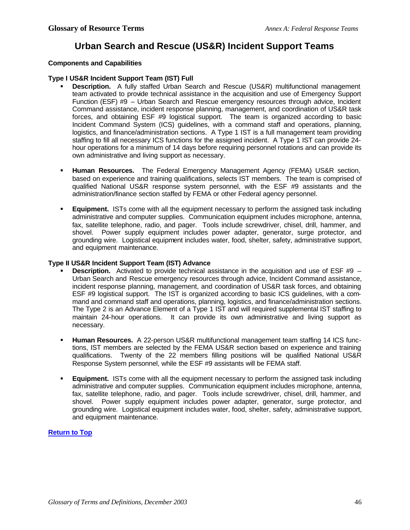### **Urban Search and Rescue (US&R) Incident Support Teams**

#### **Components and Capabilities**

#### **Type I US&R Incident Support Team (IST) Full**

- ß **Description.** A fully staffed Urban Search and Rescue (US&R) multifunctional management team activated to provide technical assistance in the acquisition and use of Emergency Support Function (ESF) #9 – Urban Search and Rescue emergency resources through advice, Incident Command assistance, incident response planning, management, and coordination of US&R task forces, and obtaining ESF #9 logistical support. The team is organized according to basic Incident Command System (ICS) guidelines, with a command staff and operations, planning, logistics, and finance/administration sections. A Type 1 IST is a full management team providing staffing to fill all necessary ICS functions for the assigned incident. A Type 1 IST can provide 24 hour operations for a minimum of 14 days before requiring personnel rotations and can provide its own administrative and living support as necessary.
- ß **Human Resources.** The Federal Emergency Management Agency (FEMA) US&R section, based on experience and training qualifications, selects IST members. The team is comprised of qualified National US&R response system personnel, with the ESF #9 assistants and the administration/finance section staffed by FEMA or other Federal agency personnel.
- ß **Equipment.** ISTs come with all the equipment necessary to perform the assigned task including administrative and computer supplies. Communication equipment includes microphone, antenna, fax, satellite telephone, radio, and pager. Tools include screwdriver, chisel, drill, hammer, and shovel. Power supply equipment includes power adapter, generator, surge protector, and grounding wire. Logistical equipment includes water, food, shelter, safety, administrative support, and equipment maintenance.

#### **Type II US&R Incident Support Team (IST) Advance**

- **Description.** Activated to provide technical assistance in the acquisition and use of ESF #9 Urban Search and Rescue emergency resources through advice, Incident Command assistance, incident response planning, management, and coordination of US&R task forces, and obtaining ESF #9 logistical support. The IST is organized according to basic ICS guidelines, with a command and command staff and operations, planning, logistics, and finance/administration sections. The Type 2 is an Advance Element of a Type 1 IST and will required supplemental IST staffing to maintain 24-hour operations. It can provide its own administrative and living support as necessary.
- **Human Resources.** A 22-person US&R multifunctional management team staffing 14 ICS functions, IST members are selected by the FEMA US&R section based on experience and training qualifications. Twenty of the 22 members filling positions will be qualified National US&R Response System personnel, while the ESF #9 assistants will be FEMA staff.
- **Equipment.** ISTs come with all the equipment necessary to perform the assigned task including administrative and computer supplies. Communication equipment includes microphone, antenna, fax, satellite telephone, radio, and pager. Tools include screwdriver, chisel, drill, hammer, and shovel. Power supply equipment includes power adapter, generator, surge protector, and grounding wire. Logistical equipment includes water, food, shelter, safety, administrative support, and equipment maintenance.